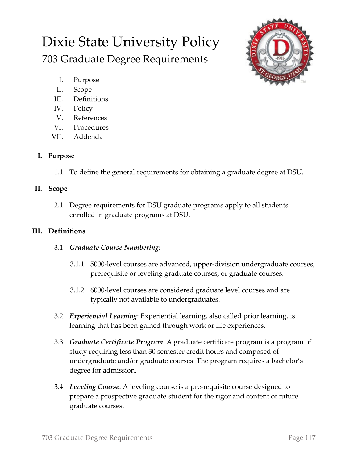# Dixie State University Policy

703 Graduate Degree Requirements



- I. Purpose
- II. Scope
- III. Definitions
- IV. Policy
- V. References
- VI. Procedures
- VII. Addenda

## **I. Purpose**

1.1 To define the general requirements for obtaining a graduate degree at DSU.

### **II. Scope**

2.1 Degree requirements for DSU graduate programs apply to all students enrolled in graduate programs at DSU.

## **III. Definitions**

- 3.1 *Graduate Course Numbering*:
	- 3.1.1 5000-level courses are advanced, upper-division undergraduate courses, prerequisite or leveling graduate courses, or graduate courses.
	- 3.1.2 6000-level courses are considered graduate level courses and are typically not available to undergraduates.
- 3.2 *Experiential Learning*: Experiential learning, also called prior learning, is learning that has been gained through work or life experiences.
- 3.3 *Graduate Certificate Program*: A graduate certificate program is a program of study requiring less than 30 semester credit hours and composed of undergraduate and/or graduate courses. The program requires a bachelor's degree for admission.
- 3.4 *Leveling Course*: A leveling course is a pre-requisite course designed to prepare a prospective graduate student for the rigor and content of future graduate courses.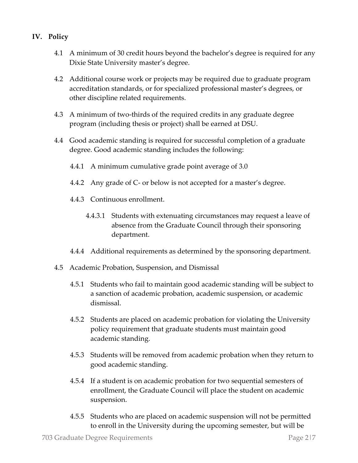- **IV. Policy**
	- 4.1 A minimum of 30 credit hours beyond the bachelor's degree is required for any Dixie State University master's degree.
	- 4.2 Additional course work or projects may be required due to graduate program accreditation standards, or for specialized professional master's degrees, or other discipline related requirements.
	- 4.3 A minimum of two-thirds of the required credits in any graduate degree program (including thesis or project) shall be earned at DSU.
	- 4.4 Good academic standing is required for successful completion of a graduate degree. Good academic standing includes the following:
		- 4.4.1 A minimum cumulative grade point average of 3.0
		- 4.4.2 Any grade of C- or below is not accepted for a master's degree.
		- 4.4.3 Continuous enrollment.
			- 4.4.3.1 Students with extenuating circumstances may request a leave of absence from the Graduate Council through their sponsoring department.
		- 4.4.4 Additional requirements as determined by the sponsoring department.
	- 4.5 Academic Probation, Suspension, and Dismissal
		- 4.5.1 Students who fail to maintain good academic standing will be subject to a sanction of academic probation, academic suspension, or academic dismissal.
		- 4.5.2 Students are placed on academic probation for violating the University policy requirement that graduate students must maintain good academic standing.
		- 4.5.3 Students will be removed from academic probation when they return to good academic standing.
		- 4.5.4 If a student is on academic probation for two sequential semesters of enrollment, the Graduate Council will place the student on academic suspension.
		- 4.5.5 Students who are placed on academic suspension will not be permitted to enroll in the University during the upcoming semester, but will be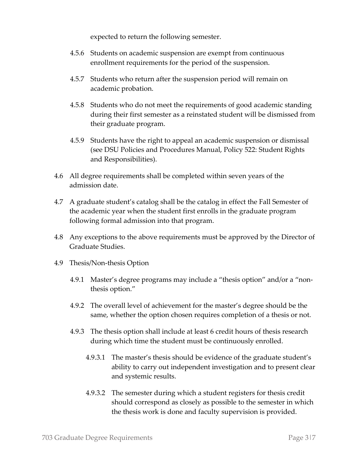expected to return the following semester.

- 4.5.6 Students on academic suspension are exempt from continuous enrollment requirements for the period of the suspension.
- 4.5.7 Students who return after the suspension period will remain on academic probation.
- 4.5.8 Students who do not meet the requirements of good academic standing during their first semester as a reinstated student will be dismissed from their graduate program.
- 4.5.9 Students have the right to appeal an academic suspension or dismissal (see DSU Policies and Procedures Manual, Policy 522: Student Rights and Responsibilities).
- 4.6 All degree requirements shall be completed within seven years of the admission date.
- 4.7 A graduate student's catalog shall be the catalog in effect the Fall Semester of the academic year when the student first enrolls in the graduate program following formal admission into that program.
- 4.8 Any exceptions to the above requirements must be approved by the Director of Graduate Studies.
- 4.9 Thesis/Non-thesis Option
	- 4.9.1 Master's degree programs may include a "thesis option" and/or a "nonthesis option."
	- 4.9.2 The overall level of achievement for the master's degree should be the same, whether the option chosen requires completion of a thesis or not.
	- 4.9.3 The thesis option shall include at least 6 credit hours of thesis research during which time the student must be continuously enrolled.
		- 4.9.3.1 The master's thesis should be evidence of the graduate student's ability to carry out independent investigation and to present clear and systemic results.
		- 4.9.3.2 The semester during which a student registers for thesis credit should correspond as closely as possible to the semester in which the thesis work is done and faculty supervision is provided.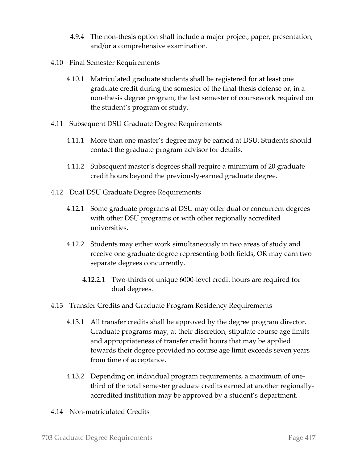- 4.9.4 The non-thesis option shall include a major project, paper, presentation, and/or a comprehensive examination.
- 4.10 Final Semester Requirements
	- 4.10.1 Matriculated graduate students shall be registered for at least one graduate credit during the semester of the final thesis defense or, in a non-thesis degree program, the last semester of coursework required on the student's program of study.
- 4.11 Subsequent DSU Graduate Degree Requirements
	- 4.11.1 More than one master's degree may be earned at DSU. Students should contact the graduate program advisor for details.
	- 4.11.2 Subsequent master's degrees shall require a minimum of 20 graduate credit hours beyond the previously-earned graduate degree.
- 4.12 Dual DSU Graduate Degree Requirements
	- 4.12.1 Some graduate programs at DSU may offer dual or concurrent degrees with other DSU programs or with other regionally accredited universities.
	- 4.12.2 Students may either work simultaneously in two areas of study and receive one graduate degree representing both fields, OR may earn two separate degrees concurrently.
		- 4.12.2.1 Two-thirds of unique 6000-level credit hours are required for dual degrees.
- 4.13 Transfer Credits and Graduate Program Residency Requirements
	- 4.13.1 All transfer credits shall be approved by the degree program director. Graduate programs may, at their discretion, stipulate course age limits and appropriateness of transfer credit hours that may be applied towards their degree provided no course age limit exceeds seven years from time of acceptance.
	- 4.13.2 Depending on individual program requirements, a maximum of onethird of the total semester graduate credits earned at another regionallyaccredited institution may be approved by a student's department.
- 4.14 Non-matriculated Credits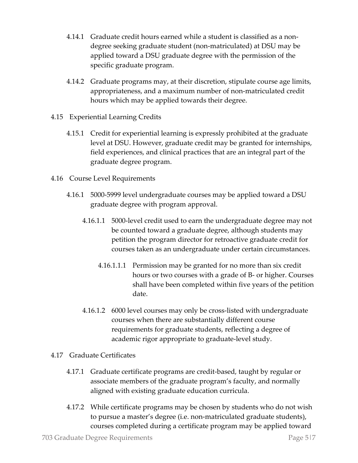- 4.14.1 Graduate credit hours earned while a student is classified as a nondegree seeking graduate student (non-matriculated) at DSU may be applied toward a DSU graduate degree with the permission of the specific graduate program.
- 4.14.2 Graduate programs may, at their discretion, stipulate course age limits, appropriateness, and a maximum number of non-matriculated credit hours which may be applied towards their degree.
- 4.15 Experiential Learning Credits
	- 4.15.1 Credit for experiential learning is expressly prohibited at the graduate level at DSU. However, graduate credit may be granted for internships, field experiences, and clinical practices that are an integral part of the graduate degree program.
- 4.16 Course Level Requirements
	- 4.16.1 5000-5999 level undergraduate courses may be applied toward a DSU graduate degree with program approval.
		- 4.16.1.1 5000-level credit used to earn the undergraduate degree may not be counted toward a graduate degree, although students may petition the program director for retroactive graduate credit for courses taken as an undergraduate under certain circumstances.
			- 4.16.1.1.1 Permission may be granted for no more than six credit hours or two courses with a grade of B- or higher. Courses shall have been completed within five years of the petition date.
		- 4.16.1.2 6000 level courses may only be cross-listed with undergraduate courses when there are substantially different course requirements for graduate students, reflecting a degree of academic rigor appropriate to graduate-level study.
- 4.17 Graduate Certificates
	- 4.17.1 Graduate certificate programs are credit-based, taught by regular or associate members of the graduate program's faculty, and normally aligned with existing graduate education curricula.
	- 4.17.2 While certificate programs may be chosen by students who do not wish to pursue a master's degree (i.e. non-matriculated graduate students), courses completed during a certificate program may be applied toward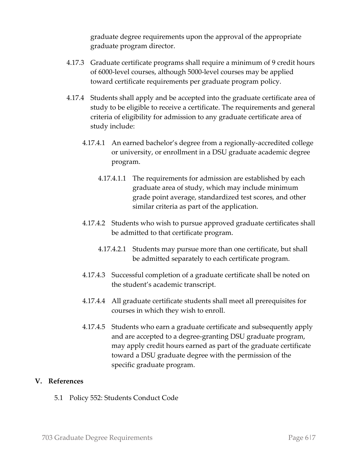graduate degree requirements upon the approval of the appropriate graduate program director.

- 4.17.3 Graduate certificate programs shall require a minimum of 9 credit hours of 6000-level courses, although 5000-level courses may be applied toward certificate requirements per graduate program policy.
- 4.17.4 Students shall apply and be accepted into the graduate certificate area of study to be eligible to receive a certificate. The requirements and general criteria of eligibility for admission to any graduate certificate area of study include:
	- 4.17.4.1 An earned bachelor's degree from a regionally-accredited college or university, or enrollment in a DSU graduate academic degree program.
		- 4.17.4.1.1 The requirements for admission are established by each graduate area of study, which may include minimum grade point average, standardized test scores, and other similar criteria as part of the application.
	- 4.17.4.2 Students who wish to pursue approved graduate certificates shall be admitted to that certificate program.
		- 4.17.4.2.1 Students may pursue more than one certificate, but shall be admitted separately to each certificate program.
	- 4.17.4.3 Successful completion of a graduate certificate shall be noted on the student's academic transcript.
	- 4.17.4.4 All graduate certificate students shall meet all prerequisites for courses in which they wish to enroll.
	- 4.17.4.5 Students who earn a graduate certificate and subsequently apply and are accepted to a degree-granting DSU graduate program, may apply credit hours earned as part of the graduate certificate toward a DSU graduate degree with the permission of the specific graduate program.

#### **V. References**

5.1 Policy 552: Students Conduct Code